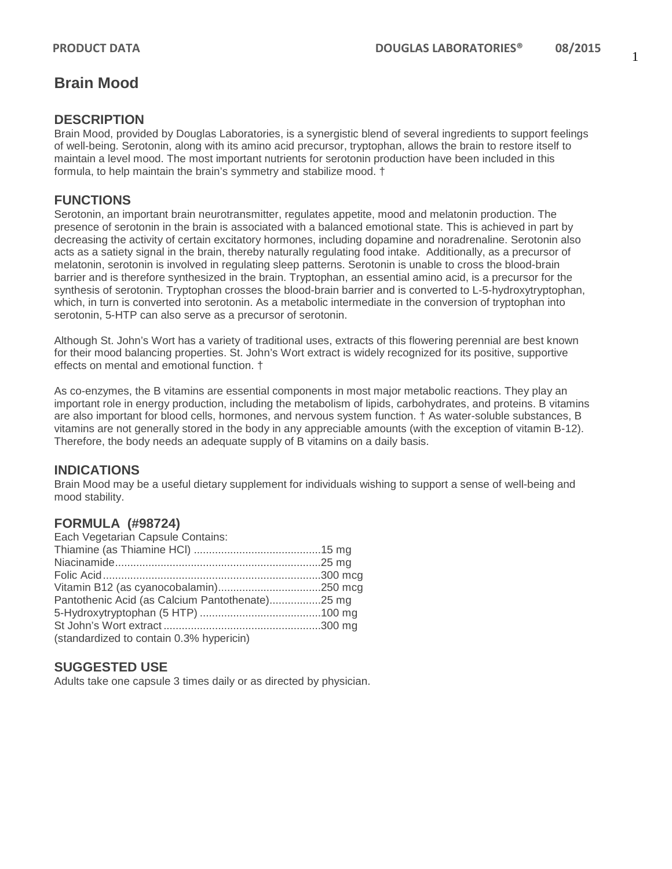#### **DESCRIPTION**

Brain Mood, provided by Douglas Laboratories, is a synergistic blend of several ingredients to support feelings of well-being. Serotonin, along with its amino acid precursor, tryptophan, allows the brain to restore itself to maintain a level mood. The most important nutrients for serotonin production have been included in this formula, to help maintain the brain's symmetry and stabilize mood. †

# **FUNCTIONS**

Serotonin, an important brain neurotransmitter, regulates appetite, mood and melatonin production. The presence of serotonin in the brain is associated with a balanced emotional state. This is achieved in part by decreasing the activity of certain excitatory hormones, including dopamine and noradrenaline. Serotonin also acts as a satiety signal in the brain, thereby naturally regulating food intake. Additionally, as a precursor of melatonin, serotonin is involved in regulating sleep patterns. Serotonin is unable to cross the blood-brain barrier and is therefore synthesized in the brain. Tryptophan, an essential amino acid, is a precursor for the synthesis of serotonin. Tryptophan crosses the blood-brain barrier and is converted to L-5-hydroxytryptophan, which, in turn is converted into serotonin. As a metabolic intermediate in the conversion of tryptophan into serotonin, 5-HTP can also serve as a precursor of serotonin.

Although St. John's Wort has a variety of traditional uses, extracts of this flowering perennial are best known for their mood balancing properties. St. John's Wort extract is widely recognized for its positive, supportive effects on mental and emotional function. †

As co-enzymes, the B vitamins are essential components in most major metabolic reactions. They play an important role in energy production, including the metabolism of lipids, carbohydrates, and proteins. B vitamins are also important for blood cells, hormones, and nervous system function. † As water-soluble substances, B vitamins are not generally stored in the body in any appreciable amounts (with the exception of vitamin B-12). Therefore, the body needs an adequate supply of B vitamins on a daily basis.

## **INDICATIONS**

Brain Mood may be a useful dietary supplement for individuals wishing to support a sense of well-being and mood stability.

## **FORMULA (#98724)**

| Each Vegetarian Capsule Contains:               |  |
|-------------------------------------------------|--|
|                                                 |  |
|                                                 |  |
|                                                 |  |
|                                                 |  |
| Pantothenic Acid (as Calcium Pantothenate)25 mg |  |
|                                                 |  |
|                                                 |  |
| (standardized to contain 0.3% hypericin)        |  |

## **SUGGESTED USE**

Adults take one capsule 3 times daily or as directed by physician.